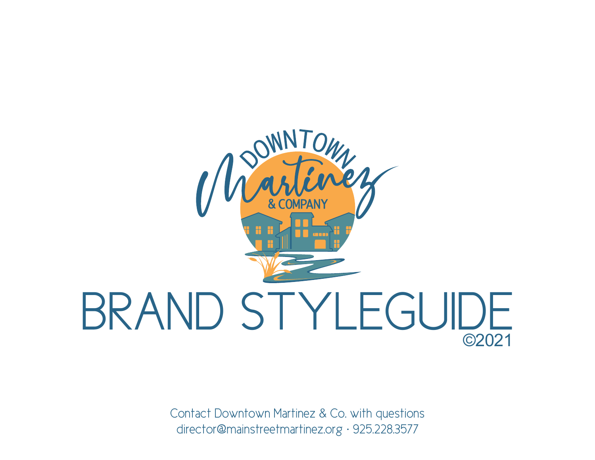

Contact Downtown Martinez & Co. with questions director@mainstreetmartinez.org · 925.228.3577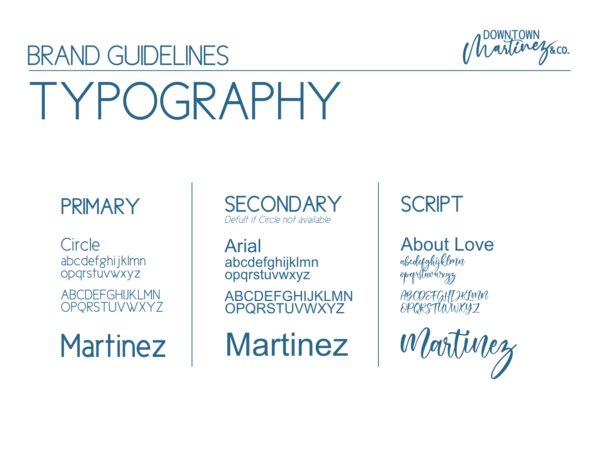### BRAND GUIDELINES TYPOGRAPHY



### PRIMARY

**Circle** abcdefghijklmn opqrstuvwxyz

ABCDEFGHIJKLMN OPQRSTUVWXYZ

SECONDARY | SCRIPT *Defult if Circle not available*

Arial abcdefghijklmn opqrstuvwxyz

ABCDEFGHIJKLMN OPQRSTUVWXYZ

About Love abcdefghijklmn opqrstuvwxyz ABCDEFGHIJKLMN OPQRSTUVWXYZ

Martinez | Martinez | Wortinez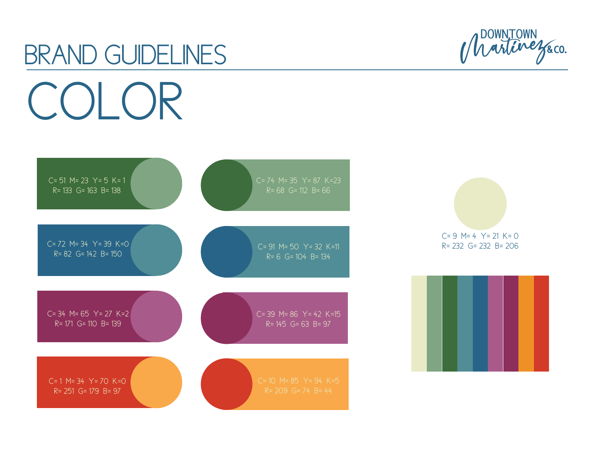## BRAND GUIDELINES COLOR



Martinezaco.

 $C= 9$  M= 4 Y= 21 K= 0 R= 232 G= 232 B= 206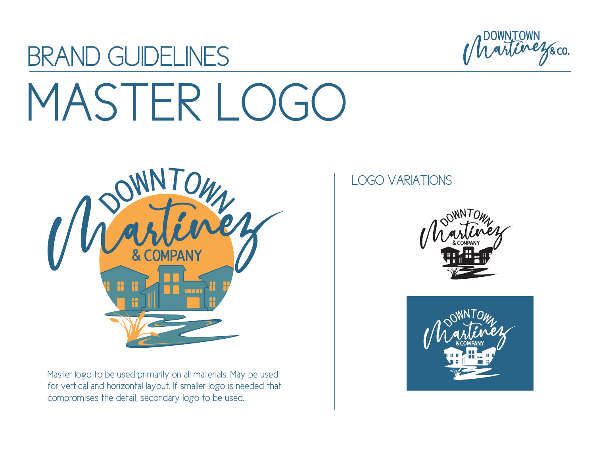

# MASTER LOGO

BRAND GUIDELINES



Master logo to be used primarily on all materials. May be used for vertical and horizontal layout. If smaller logo is needed that compromises the detail, secondary logo to be used.

#### LOGO VARIATIONS



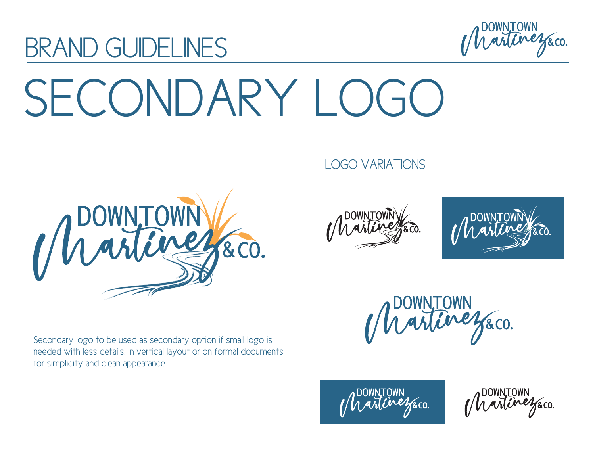

## SECONDARY I OGO



BRAND GUIDELINES

Secondary logo to be used as secondary option if small logo is needed with less details, in vertical layout or on formal documents for simplicity and clean appearance.

#### LOGO VARIATIONS





Martinezaco.



Martinezaco.